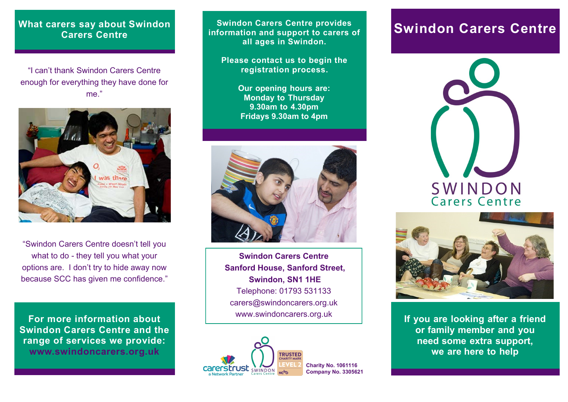## **What carers say about Swindon Carers Centre**

"I can't thank Swindon Carers Centre enough for everything they have done for me."



"Swindon Carers Centre doesn't tell you what to do - they tell you what your options are. I don't try to hide away now because SCC has given me confidence."

**For more information about Swindon Carers Centre and the range of services we provide: www.swindoncarers.org.uk**

**Swindon Carers Centre provides Swindon Carers Centre provides and support to carers of Swindon Carers Centre information and support to carers of all ages in Swindon.**

**Please contact us to begin the registration process.**

> **Our opening hours are: Monday to Thursday 9.30am to 4.30pm Fridays 9.30am to 4pm**



**Swindon Carers Centre Sanford House, Sanford Street, Swindon, SN1 1HE** Telephone: 01793 531133 carers@swindoncarers.org.uk www.swindoncarers.org.uk







**If you are looking after a friend or family member and you need some extra support, we are here to help**